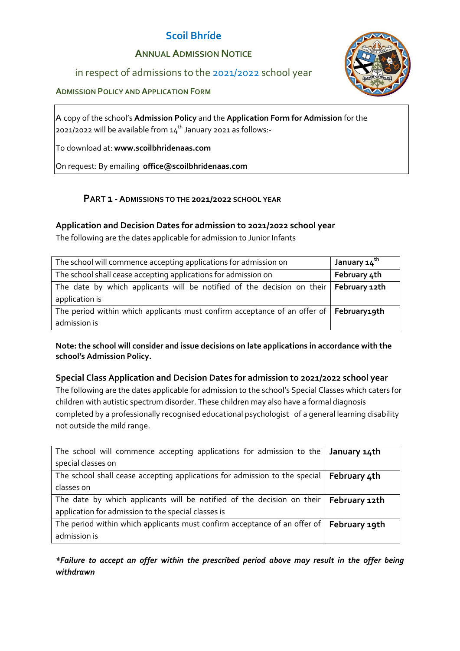# **Scoil Bhríde**

## **ANNUAL ADMISSION NOTICE**

in respect of admissions to the 2021/2022 school year



### **ADMISSION POLICY AND APPLICATION FORM**

A copy of the school's **Admission Policy** and the **Application Form for Admission** for the 2021/2022 will be available from  $14<sup>th</sup>$  January 2021 as follows:-

### To download at: **www.scoilbhridenaas.com**

On request: By emailing **office@scoilbhridenaas.com**

## **PART 1 -ADMISSIONS TO THE 2021/2022 SCHOOL YEAR**

### **Application and Decision Dates for admission to 2021/2022 school year**

The following are the dates applicable for admission to Junior Infants

| The school will commence accepting applications for admission on                         | January 14 <sup>th</sup> |
|------------------------------------------------------------------------------------------|--------------------------|
| The school shall cease accepting applications for admission on                           | February 4th             |
| The date by which applicants will be notified of the decision on their   February 12th   |                          |
| application is                                                                           |                          |
| The period within which applicants must confirm acceptance of an offer of   February19th |                          |
| admission is                                                                             |                          |

**Note: the school will consider and issue decisions on late applications in accordance with the school's Admission Policy.**

### **Special Class Application and Decision Dates for admission to 2021/2022 school year**

The following are the dates applicable for admission to the school's Special Classes which caters for children with autistic spectrum disorder. These children may also have a formal diagnosis completed by a professionally recognised educational psychologist of a general learning disability not outside the mild range.

| The school will commence accepting applications for admission to the   January $14$ th    |              |
|-------------------------------------------------------------------------------------------|--------------|
| special classes on                                                                        |              |
| The school shall cease accepting applications for admission to the special                | February 4th |
| classes on                                                                                |              |
| The date by which applicants will be notified of the decision on their   February 12th    |              |
| application for admission to the special classes is                                       |              |
| The period within which applicants must confirm acceptance of an offer of   February 19th |              |
| admission is                                                                              |              |

*\*Failure to accept an offer within the prescribed period above may result in the offer being withdrawn*